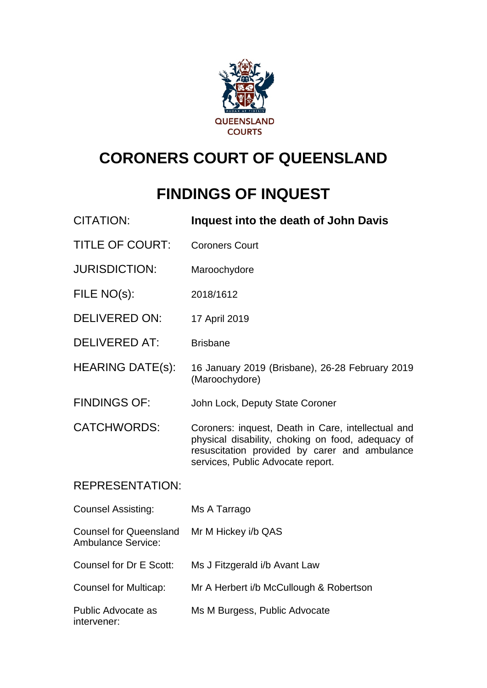

# **CORONERS COURT OF QUEENSLAND**

# **FINDINGS OF INQUEST**

| <b>CITATION:</b>                                           | Inquest into the death of John Davis                                                                                                                                                          |
|------------------------------------------------------------|-----------------------------------------------------------------------------------------------------------------------------------------------------------------------------------------------|
| <b>TITLE OF COURT:</b>                                     | <b>Coroners Court</b>                                                                                                                                                                         |
| <b>JURISDICTION:</b>                                       | Maroochydore                                                                                                                                                                                  |
| FILE NO(s):                                                | 2018/1612                                                                                                                                                                                     |
| <b>DELIVERED ON:</b>                                       | 17 April 2019                                                                                                                                                                                 |
| <b>DELIVERED AT:</b>                                       | <b>Brisbane</b>                                                                                                                                                                               |
| <b>HEARING DATE(s):</b>                                    | 16 January 2019 (Brisbane), 26-28 February 2019<br>(Maroochydore)                                                                                                                             |
| <b>FINDINGS OF:</b>                                        | John Lock, Deputy State Coroner                                                                                                                                                               |
| <b>CATCHWORDS:</b>                                         | Coroners: inquest, Death in Care, intellectual and<br>physical disability, choking on food, adequacy of<br>resuscitation provided by carer and ambulance<br>services, Public Advocate report. |
| <b>REPRESENTATION:</b>                                     |                                                                                                                                                                                               |
| <b>Counsel Assisting:</b>                                  | Ms A Tarrago                                                                                                                                                                                  |
| <b>Counsel for Queensland</b><br><b>Ambulance Service:</b> | Mr M Hickey i/b QAS                                                                                                                                                                           |
| Counsel for Dr E Scott:                                    | Ms J Fitzgerald i/b Avant Law                                                                                                                                                                 |
| <b>Counsel for Multicap:</b>                               | Mr A Herbert i/b McCullough & Robertson                                                                                                                                                       |
| Public Advocate as<br>intervener:                          | Ms M Burgess, Public Advocate                                                                                                                                                                 |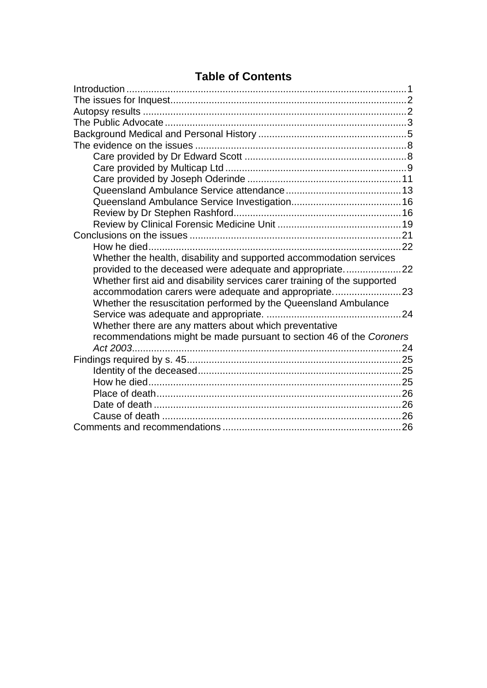# **Table of Contents**

| Whether the health, disability and supported accommodation services       |  |
|---------------------------------------------------------------------------|--|
| provided to the deceased were adequate and appropriate22                  |  |
| Whether first aid and disability services carer training of the supported |  |
| accommodation carers were adequate and appropriate23                      |  |
| Whether the resuscitation performed by the Queensland Ambulance           |  |
|                                                                           |  |
| Whether there are any matters about which preventative                    |  |
| recommendations might be made pursuant to section 46 of the Coroners      |  |
| Act 2003                                                                  |  |
|                                                                           |  |
|                                                                           |  |
|                                                                           |  |
|                                                                           |  |
|                                                                           |  |
|                                                                           |  |
|                                                                           |  |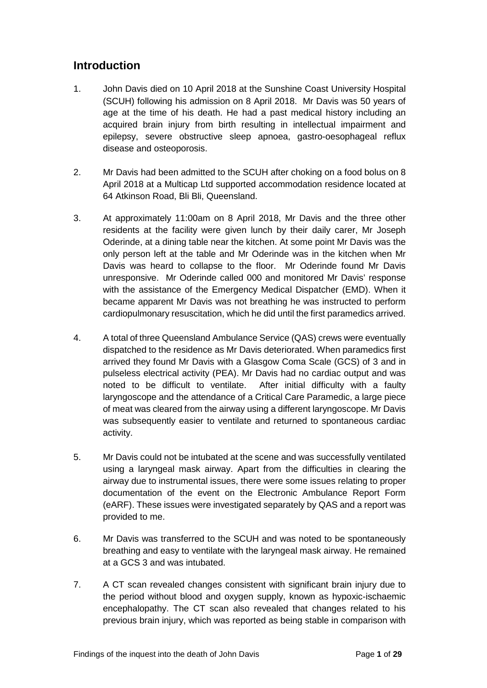# <span id="page-2-0"></span>**Introduction**

- 1. John Davis died on 10 April 2018 at the Sunshine Coast University Hospital (SCUH) following his admission on 8 April 2018. Mr Davis was 50 years of age at the time of his death. He had a past medical history including an acquired brain injury from birth resulting in intellectual impairment and epilepsy, severe obstructive sleep apnoea, gastro-oesophageal reflux disease and osteoporosis.
- 2. Mr Davis had been admitted to the SCUH after choking on a food bolus on 8 April 2018 at a Multicap Ltd supported accommodation residence located at 64 Atkinson Road, Bli Bli, Queensland.
- 3. At approximately 11:00am on 8 April 2018, Mr Davis and the three other residents at the facility were given lunch by their daily carer, Mr Joseph Oderinde, at a dining table near the kitchen. At some point Mr Davis was the only person left at the table and Mr Oderinde was in the kitchen when Mr Davis was heard to collapse to the floor. Mr Oderinde found Mr Davis unresponsive. Mr Oderinde called 000 and monitored Mr Davis' response with the assistance of the Emergency Medical Dispatcher (EMD). When it became apparent Mr Davis was not breathing he was instructed to perform cardiopulmonary resuscitation, which he did until the first paramedics arrived.
- 4. A total of three Queensland Ambulance Service (QAS) crews were eventually dispatched to the residence as Mr Davis deteriorated. When paramedics first arrived they found Mr Davis with a Glasgow Coma Scale (GCS) of 3 and in pulseless electrical activity (PEA). Mr Davis had no cardiac output and was noted to be difficult to ventilate. After initial difficulty with a faulty laryngoscope and the attendance of a Critical Care Paramedic, a large piece of meat was cleared from the airway using a different laryngoscope. Mr Davis was subsequently easier to ventilate and returned to spontaneous cardiac activity.
- 5. Mr Davis could not be intubated at the scene and was successfully ventilated using a laryngeal mask airway. Apart from the difficulties in clearing the airway due to instrumental issues, there were some issues relating to proper documentation of the event on the Electronic Ambulance Report Form (eARF). These issues were investigated separately by QAS and a report was provided to me.
- 6. Mr Davis was transferred to the SCUH and was noted to be spontaneously breathing and easy to ventilate with the laryngeal mask airway. He remained at a GCS 3 and was intubated.
- 7. A CT scan revealed changes consistent with significant brain injury due to the period without blood and oxygen supply, known as hypoxic-ischaemic encephalopathy. The CT scan also revealed that changes related to his previous brain injury, which was reported as being stable in comparison with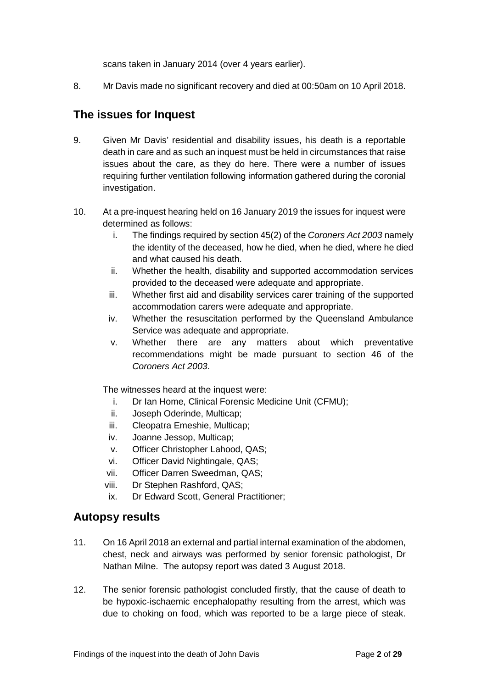scans taken in January 2014 (over 4 years earlier).

8. Mr Davis made no significant recovery and died at 00:50am on 10 April 2018.

# <span id="page-3-0"></span>**The issues for Inquest**

- 9. Given Mr Davis' residential and disability issues, his death is a reportable death in care and as such an inquest must be held in circumstances that raise issues about the care, as they do here. There were a number of issues requiring further ventilation following information gathered during the coronial investigation.
- 10. At a pre-inquest hearing held on 16 January 2019 the issues for inquest were determined as follows:
	- i. The findings required by section 45(2) of the *Coroners Act 2003* namely the identity of the deceased, how he died, when he died, where he died and what caused his death.
	- ii. Whether the health, disability and supported accommodation services provided to the deceased were adequate and appropriate.
	- iii. Whether first aid and disability services carer training of the supported accommodation carers were adequate and appropriate.
	- iv. Whether the resuscitation performed by the Queensland Ambulance Service was adequate and appropriate.
	- v. Whether there are any matters about which preventative recommendations might be made pursuant to section 46 of the *Coroners Act 2003*.

The witnesses heard at the inquest were:

- i. Dr Ian Home, Clinical Forensic Medicine Unit (CFMU);
- ii. Joseph Oderinde, Multicap;
- iii. Cleopatra Emeshie, Multicap;
- iv. Joanne Jessop, Multicap;
- v. Officer Christopher Lahood, QAS;
- vi. Officer David Nightingale, QAS;
- vii. Officer Darren Sweedman, QAS;
- viii. Dr Stephen Rashford, QAS;
- ix. Dr Edward Scott, General Practitioner;

## <span id="page-3-1"></span>**Autopsy results**

- 11. On 16 April 2018 an external and partial internal examination of the abdomen, chest, neck and airways was performed by senior forensic pathologist, Dr Nathan Milne. The autopsy report was dated 3 August 2018.
- 12. The senior forensic pathologist concluded firstly, that the cause of death to be hypoxic-ischaemic encephalopathy resulting from the arrest, which was due to choking on food, which was reported to be a large piece of steak.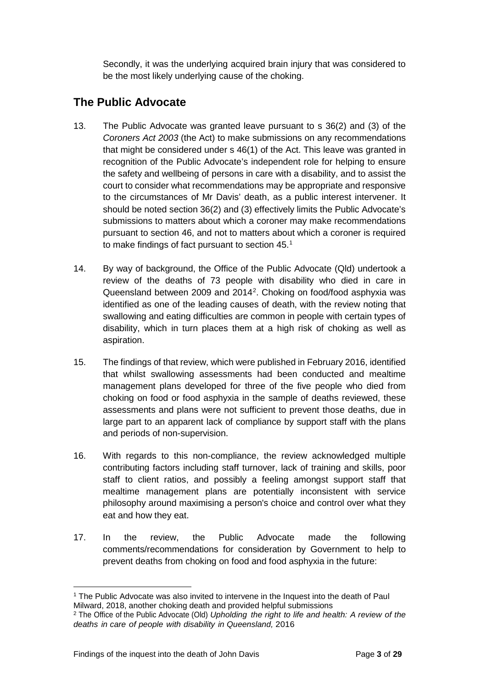Secondly, it was the underlying acquired brain injury that was considered to be the most likely underlying cause of the choking.

# <span id="page-4-0"></span>**The Public Advocate**

- 13. The Public Advocate was granted leave pursuant to s 36(2) and (3) of the *Coroners Act 2003* (the Act) to make submissions on any recommendations that might be considered under s 46(1) of the Act. This leave was granted in recognition of the Public Advocate's independent role for helping to ensure the safety and wellbeing of persons in care with a disability, and to assist the court to consider what recommendations may be appropriate and responsive to the circumstances of Mr Davis' death, as a public interest intervener. It should be noted section 36(2) and (3) effectively limits the Public Advocate's submissions to matters about which a coroner may make recommendations pursuant to section 46, and not to matters about which a coroner is required to make findings of fact pursuant to section 45.<sup>[1](#page-4-1)</sup>
- 14. By way of background, the Office of the Public Advocate (Qld) undertook a review of the deaths of 73 people with disability who died in care in Queensland between [2](#page-4-2)009 and 2014<sup>2</sup>. Choking on food/food asphyxia was identified as one of the leading causes of death, with the review noting that swallowing and eating difficulties are common in people with certain types of disability, which in turn places them at a high risk of choking as well as aspiration.
- 15. The findings of that review, which were published in February 2016, identified that whilst swallowing assessments had been conducted and mealtime management plans developed for three of the five people who died from choking on food or food asphyxia in the sample of deaths reviewed, these assessments and plans were not sufficient to prevent those deaths, due in large part to an apparent lack of compliance by support staff with the plans and periods of non-supervision.
- 16. With regards to this non-compliance, the review acknowledged multiple contributing factors including staff turnover, lack of training and skills, poor staff to client ratios, and possibly a feeling amongst support staff that mealtime management plans are potentially inconsistent with service philosophy around maximising a person's choice and control over what they eat and how they eat.
- 17. In the review, the Public Advocate made the following comments/recommendations for consideration by Government to help to prevent deaths from choking on food and food asphyxia in the future:

<span id="page-4-1"></span><sup>1</sup> The Public Advocate was also invited to intervene in the Inquest into the death of Paul Milward, 2018, another choking death and provided helpful submissions  $\overline{a}$ 

<span id="page-4-2"></span><sup>2</sup> The Office of the Public Advocate (Old) *Upholding the right to life and health: A review of the deaths in care of people with disability in Queensland,* 2016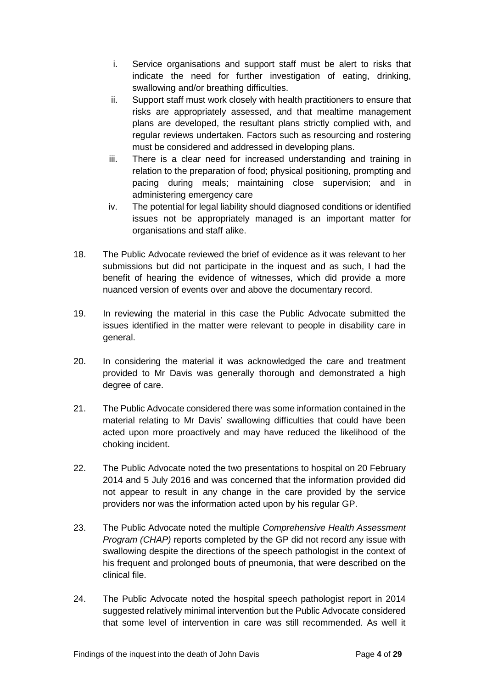- i. Service organisations and support staff must be alert to risks that indicate the need for further investigation of eating, drinking, swallowing and/or breathing difficulties.
- ii. Support staff must work closely with health practitioners to ensure that risks are appropriately assessed, and that mealtime management plans are developed, the resultant plans strictly complied with, and regular reviews undertaken. Factors such as resourcing and rostering must be considered and addressed in developing plans.
- iii. There is a clear need for increased understanding and training in relation to the preparation of food; physical positioning, prompting and pacing during meals; maintaining close supervision; and in administering emergency care
- iv. The potential for legal liability should diagnosed conditions or identified issues not be appropriately managed is an important matter for organisations and staff alike.
- 18. The Public Advocate reviewed the brief of evidence as it was relevant to her submissions but did not participate in the inquest and as such, I had the benefit of hearing the evidence of witnesses, which did provide a more nuanced version of events over and above the documentary record.
- 19. In reviewing the material in this case the Public Advocate submitted the issues identified in the matter were relevant to people in disability care in general.
- 20. In considering the material it was acknowledged the care and treatment provided to Mr Davis was generally thorough and demonstrated a high degree of care.
- 21. The Public Advocate considered there was some information contained in the material relating to Mr Davis' swallowing difficulties that could have been acted upon more proactively and may have reduced the likelihood of the choking incident.
- 22. The Public Advocate noted the two presentations to hospital on 20 February 2014 and 5 July 2016 and was concerned that the information provided did not appear to result in any change in the care provided by the service providers nor was the information acted upon by his regular GP.
- 23. The Public Advocate noted the multiple *Comprehensive Health Assessment Program (CHAP)* reports completed by the GP did not record any issue with swallowing despite the directions of the speech pathologist in the context of his frequent and prolonged bouts of pneumonia, that were described on the clinical file.
- 24. The Public Advocate noted the hospital speech pathologist report in 2014 suggested relatively minimal intervention but the Public Advocate considered that some level of intervention in care was still recommended. As well it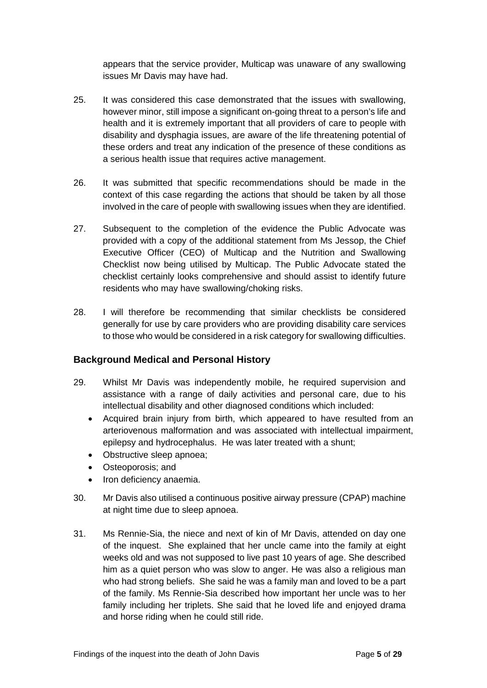appears that the service provider, Multicap was unaware of any swallowing issues Mr Davis may have had.

- 25. It was considered this case demonstrated that the issues with swallowing, however minor, still impose a significant on-going threat to a person's life and health and it is extremely important that all providers of care to people with disability and dysphagia issues, are aware of the life threatening potential of these orders and treat any indication of the presence of these conditions as a serious health issue that requires active management.
- 26. It was submitted that specific recommendations should be made in the context of this case regarding the actions that should be taken by all those involved in the care of people with swallowing issues when they are identified.
- 27. Subsequent to the completion of the evidence the Public Advocate was provided with a copy of the additional statement from Ms Jessop, the Chief Executive Officer (CEO) of Multicap and the Nutrition and Swallowing Checklist now being utilised by Multicap. The Public Advocate stated the checklist certainly looks comprehensive and should assist to identify future residents who may have swallowing/choking risks.
- 28. I will therefore be recommending that similar checklists be considered generally for use by care providers who are providing disability care services to those who would be considered in a risk category for swallowing difficulties.

#### <span id="page-6-0"></span>**Background Medical and Personal History**

- 29. Whilst Mr Davis was independently mobile, he required supervision and assistance with a range of daily activities and personal care, due to his intellectual disability and other diagnosed conditions which included:
	- Acquired brain injury from birth, which appeared to have resulted from an arteriovenous malformation and was associated with intellectual impairment, epilepsy and hydrocephalus. He was later treated with a shunt;
	- Obstructive sleep apnoea:
	- Osteoporosis; and
	- Iron deficiency anaemia.
- 30. Mr Davis also utilised a continuous positive airway pressure (CPAP) machine at night time due to sleep apnoea.
- 31. Ms Rennie-Sia, the niece and next of kin of Mr Davis, attended on day one of the inquest. She explained that her uncle came into the family at eight weeks old and was not supposed to live past 10 years of age. She described him as a quiet person who was slow to anger. He was also a religious man who had strong beliefs. She said he was a family man and loved to be a part of the family. Ms Rennie-Sia described how important her uncle was to her family including her triplets. She said that he loved life and enjoyed drama and horse riding when he could still ride.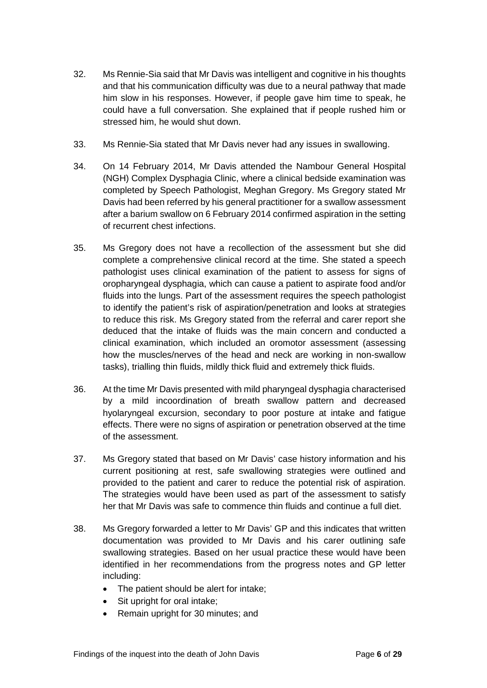- 32. Ms Rennie-Sia said that Mr Davis was intelligent and cognitive in his thoughts and that his communication difficulty was due to a neural pathway that made him slow in his responses. However, if people gave him time to speak, he could have a full conversation. She explained that if people rushed him or stressed him, he would shut down.
- 33. Ms Rennie-Sia stated that Mr Davis never had any issues in swallowing.
- 34. On 14 February 2014, Mr Davis attended the Nambour General Hospital (NGH) Complex Dysphagia Clinic, where a clinical bedside examination was completed by Speech Pathologist, Meghan Gregory. Ms Gregory stated Mr Davis had been referred by his general practitioner for a swallow assessment after a barium swallow on 6 February 2014 confirmed aspiration in the setting of recurrent chest infections.
- 35. Ms Gregory does not have a recollection of the assessment but she did complete a comprehensive clinical record at the time. She stated a speech pathologist uses clinical examination of the patient to assess for signs of oropharyngeal dysphagia, which can cause a patient to aspirate food and/or fluids into the lungs. Part of the assessment requires the speech pathologist to identify the patient's risk of aspiration/penetration and looks at strategies to reduce this risk. Ms Gregory stated from the referral and carer report she deduced that the intake of fluids was the main concern and conducted a clinical examination, which included an oromotor assessment (assessing how the muscles/nerves of the head and neck are working in non-swallow tasks), trialling thin fluids, mildly thick fluid and extremely thick fluids.
- 36. At the time Mr Davis presented with mild pharyngeal dysphagia characterised by a mild incoordination of breath swallow pattern and decreased hyolaryngeal excursion, secondary to poor posture at intake and fatigue effects. There were no signs of aspiration or penetration observed at the time of the assessment.
- 37. Ms Gregory stated that based on Mr Davis' case history information and his current positioning at rest, safe swallowing strategies were outlined and provided to the patient and carer to reduce the potential risk of aspiration. The strategies would have been used as part of the assessment to satisfy her that Mr Davis was safe to commence thin fluids and continue a full diet.
- 38. Ms Gregory forwarded a letter to Mr Davis' GP and this indicates that written documentation was provided to Mr Davis and his carer outlining safe swallowing strategies. Based on her usual practice these would have been identified in her recommendations from the progress notes and GP letter including:
	- The patient should be alert for intake;
	- Sit upright for oral intake:
	- Remain upright for 30 minutes; and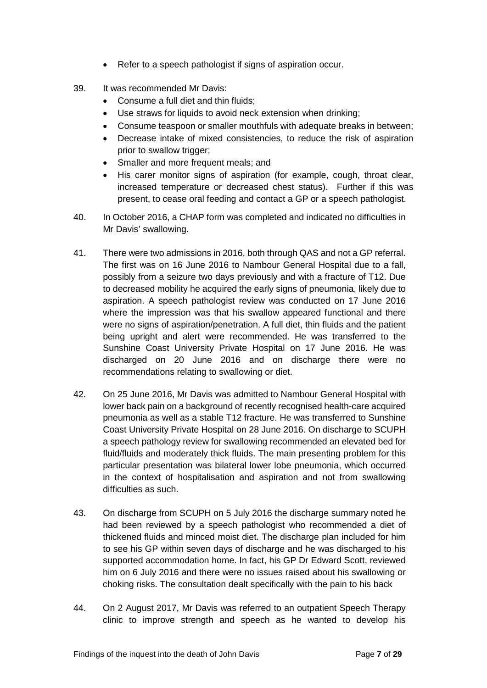- Refer to a speech pathologist if signs of aspiration occur.
- 39. It was recommended Mr Davis:
	- Consume a full diet and thin fluids;
	- Use straws for liquids to avoid neck extension when drinking;
	- Consume teaspoon or smaller mouthfuls with adequate breaks in between;
	- Decrease intake of mixed consistencies, to reduce the risk of aspiration prior to swallow trigger;
	- Smaller and more frequent meals; and
	- His carer monitor signs of aspiration (for example, cough, throat clear, increased temperature or decreased chest status). Further if this was present, to cease oral feeding and contact a GP or a speech pathologist.
- 40. In October 2016, a CHAP form was completed and indicated no difficulties in Mr Davis' swallowing.
- 41. There were two admissions in 2016, both through QAS and not a GP referral. The first was on 16 June 2016 to Nambour General Hospital due to a fall, possibly from a seizure two days previously and with a fracture of T12. Due to decreased mobility he acquired the early signs of pneumonia, likely due to aspiration. A speech pathologist review was conducted on 17 June 2016 where the impression was that his swallow appeared functional and there were no signs of aspiration/penetration. A full diet, thin fluids and the patient being upright and alert were recommended. He was transferred to the Sunshine Coast University Private Hospital on 17 June 2016. He was discharged on 20 June 2016 and on discharge there were no recommendations relating to swallowing or diet.
- 42. On 25 June 2016, Mr Davis was admitted to Nambour General Hospital with lower back pain on a background of recently recognised health-care acquired pneumonia as well as a stable T12 fracture. He was transferred to Sunshine Coast University Private Hospital on 28 June 2016. On discharge to SCUPH a speech pathology review for swallowing recommended an elevated bed for fluid/fluids and moderately thick fluids. The main presenting problem for this particular presentation was bilateral lower lobe pneumonia, which occurred in the context of hospitalisation and aspiration and not from swallowing difficulties as such.
- 43. On discharge from SCUPH on 5 July 2016 the discharge summary noted he had been reviewed by a speech pathologist who recommended a diet of thickened fluids and minced moist diet. The discharge plan included for him to see his GP within seven days of discharge and he was discharged to his supported accommodation home. In fact, his GP Dr Edward Scott, reviewed him on 6 July 2016 and there were no issues raised about his swallowing or choking risks. The consultation dealt specifically with the pain to his back
- 44. On 2 August 2017, Mr Davis was referred to an outpatient Speech Therapy clinic to improve strength and speech as he wanted to develop his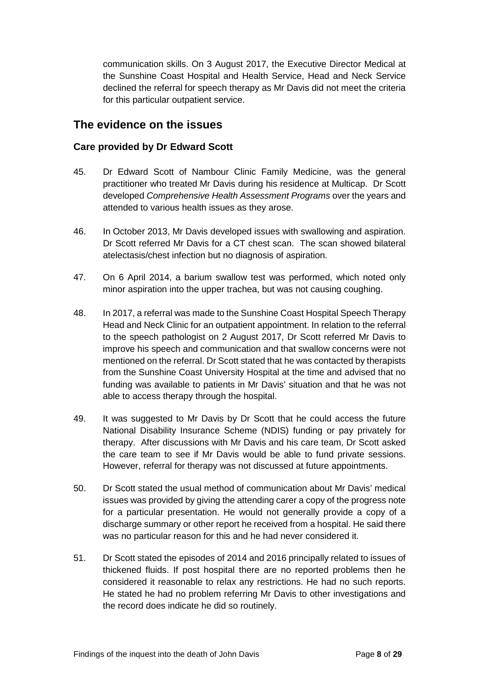communication skills. On 3 August 2017, the Executive Director Medical at the Sunshine Coast Hospital and Health Service, Head and Neck Service declined the referral for speech therapy as Mr Davis did not meet the criteria for this particular outpatient service.

# <span id="page-9-0"></span>**The evidence on the issues**

#### <span id="page-9-1"></span>**Care provided by Dr Edward Scott**

- 45. Dr Edward Scott of Nambour Clinic Family Medicine, was the general practitioner who treated Mr Davis during his residence at Multicap. Dr Scott developed *Comprehensive Health Assessment Programs* over the years and attended to various health issues as they arose.
- 46. In October 2013, Mr Davis developed issues with swallowing and aspiration. Dr Scott referred Mr Davis for a CT chest scan. The scan showed bilateral atelectasis/chest infection but no diagnosis of aspiration.
- 47. On 6 April 2014, a barium swallow test was performed, which noted only minor aspiration into the upper trachea, but was not causing coughing.
- 48. In 2017, a referral was made to the Sunshine Coast Hospital Speech Therapy Head and Neck Clinic for an outpatient appointment. In relation to the referral to the speech pathologist on 2 August 2017, Dr Scott referred Mr Davis to improve his speech and communication and that swallow concerns were not mentioned on the referral. Dr Scott stated that he was contacted by therapists from the Sunshine Coast University Hospital at the time and advised that no funding was available to patients in Mr Davis' situation and that he was not able to access therapy through the hospital.
- 49. It was suggested to Mr Davis by Dr Scott that he could access the future National Disability Insurance Scheme (NDIS) funding or pay privately for therapy. After discussions with Mr Davis and his care team, Dr Scott asked the care team to see if Mr Davis would be able to fund private sessions. However, referral for therapy was not discussed at future appointments.
- 50. Dr Scott stated the usual method of communication about Mr Davis' medical issues was provided by giving the attending carer a copy of the progress note for a particular presentation. He would not generally provide a copy of a discharge summary or other report he received from a hospital. He said there was no particular reason for this and he had never considered it.
- 51. Dr Scott stated the episodes of 2014 and 2016 principally related to issues of thickened fluids. If post hospital there are no reported problems then he considered it reasonable to relax any restrictions. He had no such reports. He stated he had no problem referring Mr Davis to other investigations and the record does indicate he did so routinely.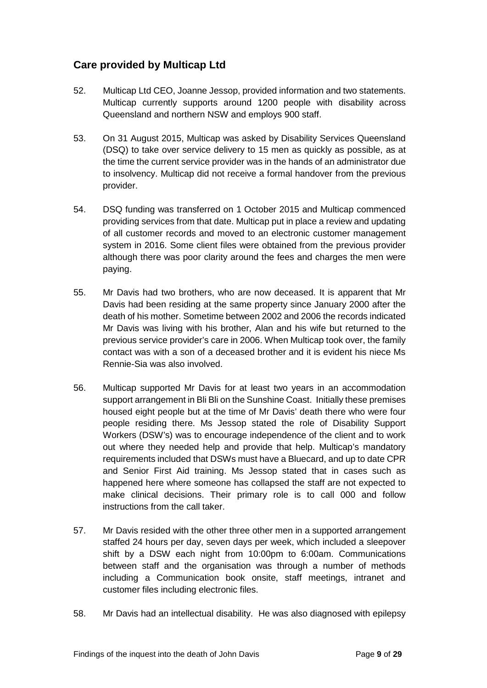# <span id="page-10-0"></span>**Care provided by Multicap Ltd**

- 52. Multicap Ltd CEO, Joanne Jessop, provided information and two statements. Multicap currently supports around 1200 people with disability across Queensland and northern NSW and employs 900 staff.
- 53. On 31 August 2015, Multicap was asked by Disability Services Queensland (DSQ) to take over service delivery to 15 men as quickly as possible, as at the time the current service provider was in the hands of an administrator due to insolvency. Multicap did not receive a formal handover from the previous provider.
- 54. DSQ funding was transferred on 1 October 2015 and Multicap commenced providing services from that date. Multicap put in place a review and updating of all customer records and moved to an electronic customer management system in 2016. Some client files were obtained from the previous provider although there was poor clarity around the fees and charges the men were paying.
- 55. Mr Davis had two brothers, who are now deceased. It is apparent that Mr Davis had been residing at the same property since January 2000 after the death of his mother. Sometime between 2002 and 2006 the records indicated Mr Davis was living with his brother, Alan and his wife but returned to the previous service provider's care in 2006. When Multicap took over, the family contact was with a son of a deceased brother and it is evident his niece Ms Rennie-Sia was also involved.
- 56. Multicap supported Mr Davis for at least two years in an accommodation support arrangement in Bli Bli on the Sunshine Coast. Initially these premises housed eight people but at the time of Mr Davis' death there who were four people residing there. Ms Jessop stated the role of Disability Support Workers (DSW's) was to encourage independence of the client and to work out where they needed help and provide that help. Multicap's mandatory requirements included that DSWs must have a Bluecard, and up to date CPR and Senior First Aid training. Ms Jessop stated that in cases such as happened here where someone has collapsed the staff are not expected to make clinical decisions. Their primary role is to call 000 and follow instructions from the call taker.
- 57. Mr Davis resided with the other three other men in a supported arrangement staffed 24 hours per day, seven days per week, which included a sleepover shift by a DSW each night from 10:00pm to 6:00am. Communications between staff and the organisation was through a number of methods including a Communication book onsite, staff meetings, intranet and customer files including electronic files.
- 58. Mr Davis had an intellectual disability. He was also diagnosed with epilepsy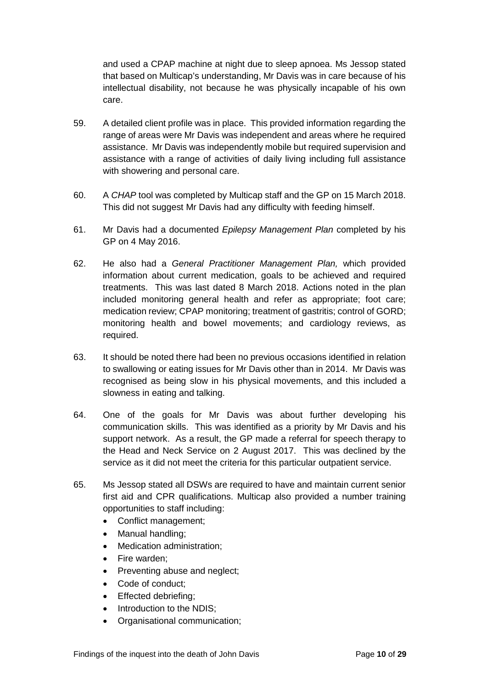and used a CPAP machine at night due to sleep apnoea. Ms Jessop stated that based on Multicap's understanding, Mr Davis was in care because of his intellectual disability, not because he was physically incapable of his own care.

- 59. A detailed client profile was in place. This provided information regarding the range of areas were Mr Davis was independent and areas where he required assistance. Mr Davis was independently mobile but required supervision and assistance with a range of activities of daily living including full assistance with showering and personal care.
- 60. A *CHAP* tool was completed by Multicap staff and the GP on 15 March 2018. This did not suggest Mr Davis had any difficulty with feeding himself.
- 61. Mr Davis had a documented *Epilepsy Management Plan* completed by his GP on 4 May 2016.
- 62. He also had a *General Practitioner Management Plan,* which provided information about current medication, goals to be achieved and required treatments. This was last dated 8 March 2018. Actions noted in the plan included monitoring general health and refer as appropriate; foot care; medication review; CPAP monitoring; treatment of gastritis; control of GORD; monitoring health and bowel movements; and cardiology reviews, as required.
- 63. It should be noted there had been no previous occasions identified in relation to swallowing or eating issues for Mr Davis other than in 2014. Mr Davis was recognised as being slow in his physical movements, and this included a slowness in eating and talking.
- 64. One of the goals for Mr Davis was about further developing his communication skills. This was identified as a priority by Mr Davis and his support network. As a result, the GP made a referral for speech therapy to the Head and Neck Service on 2 August 2017. This was declined by the service as it did not meet the criteria for this particular outpatient service.
- 65. Ms Jessop stated all DSWs are required to have and maintain current senior first aid and CPR qualifications. Multicap also provided a number training opportunities to staff including:
	- Conflict management;
	- Manual handling;
	- Medication administration;
	- Fire warden;
	- Preventing abuse and neglect;
	- Code of conduct;
	- Effected debriefing;
	- Introduction to the NDIS;
	- Organisational communication;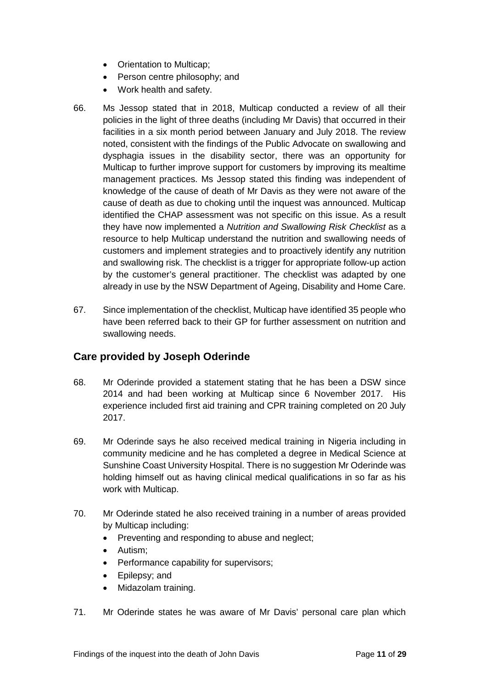- Orientation to Multicap;
- Person centre philosophy; and
- Work health and safety.
- 66. Ms Jessop stated that in 2018, Multicap conducted a review of all their policies in the light of three deaths (including Mr Davis) that occurred in their facilities in a six month period between January and July 2018. The review noted, consistent with the findings of the Public Advocate on swallowing and dysphagia issues in the disability sector, there was an opportunity for Multicap to further improve support for customers by improving its mealtime management practices. Ms Jessop stated this finding was independent of knowledge of the cause of death of Mr Davis as they were not aware of the cause of death as due to choking until the inquest was announced. Multicap identified the CHAP assessment was not specific on this issue. As a result they have now implemented a *Nutrition and Swallowing Risk Checklist* as a resource to help Multicap understand the nutrition and swallowing needs of customers and implement strategies and to proactively identify any nutrition and swallowing risk. The checklist is a trigger for appropriate follow-up action by the customer's general practitioner. The checklist was adapted by one already in use by the NSW Department of Ageing, Disability and Home Care.
- 67. Since implementation of the checklist, Multicap have identified 35 people who have been referred back to their GP for further assessment on nutrition and swallowing needs.

## <span id="page-12-0"></span>**Care provided by Joseph Oderinde**

- 68. Mr Oderinde provided a statement stating that he has been a DSW since 2014 and had been working at Multicap since 6 November 2017. His experience included first aid training and CPR training completed on 20 July 2017.
- 69. Mr Oderinde says he also received medical training in Nigeria including in community medicine and he has completed a degree in Medical Science at Sunshine Coast University Hospital. There is no suggestion Mr Oderinde was holding himself out as having clinical medical qualifications in so far as his work with Multicap.
- 70. Mr Oderinde stated he also received training in a number of areas provided by Multicap including:
	- Preventing and responding to abuse and neglect;
	- Autism;
	- Performance capability for supervisors;
	- Epilepsy; and
	- Midazolam training.
- 71. Mr Oderinde states he was aware of Mr Davis' personal care plan which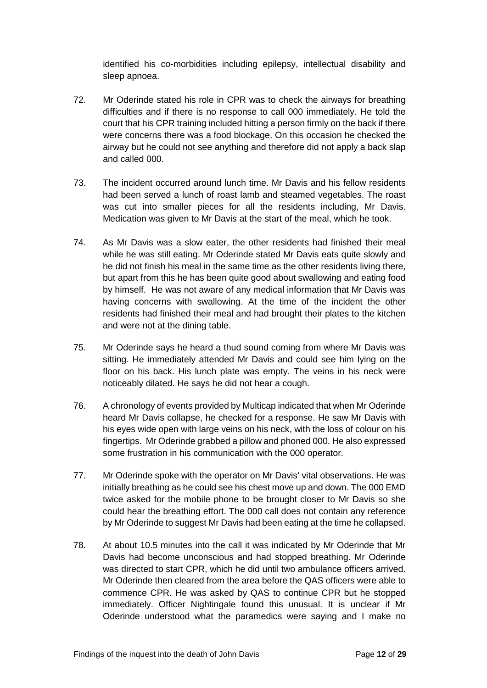identified his co-morbidities including epilepsy, intellectual disability and sleep apnoea.

- 72. Mr Oderinde stated his role in CPR was to check the airways for breathing difficulties and if there is no response to call 000 immediately. He told the court that his CPR training included hitting a person firmly on the back if there were concerns there was a food blockage. On this occasion he checked the airway but he could not see anything and therefore did not apply a back slap and called 000.
- 73. The incident occurred around lunch time. Mr Davis and his fellow residents had been served a lunch of roast lamb and steamed vegetables. The roast was cut into smaller pieces for all the residents including, Mr Davis. Medication was given to Mr Davis at the start of the meal, which he took.
- 74. As Mr Davis was a slow eater, the other residents had finished their meal while he was still eating. Mr Oderinde stated Mr Davis eats quite slowly and he did not finish his meal in the same time as the other residents living there, but apart from this he has been quite good about swallowing and eating food by himself. He was not aware of any medical information that Mr Davis was having concerns with swallowing. At the time of the incident the other residents had finished their meal and had brought their plates to the kitchen and were not at the dining table.
- 75. Mr Oderinde says he heard a thud sound coming from where Mr Davis was sitting. He immediately attended Mr Davis and could see him lying on the floor on his back. His lunch plate was empty. The veins in his neck were noticeably dilated. He says he did not hear a cough.
- 76. A chronology of events provided by Multicap indicated that when Mr Oderinde heard Mr Davis collapse, he checked for a response. He saw Mr Davis with his eyes wide open with large veins on his neck, with the loss of colour on his fingertips. Mr Oderinde grabbed a pillow and phoned 000. He also expressed some frustration in his communication with the 000 operator.
- 77. Mr Oderinde spoke with the operator on Mr Davis' vital observations. He was initially breathing as he could see his chest move up and down. The 000 EMD twice asked for the mobile phone to be brought closer to Mr Davis so she could hear the breathing effort. The 000 call does not contain any reference by Mr Oderinde to suggest Mr Davis had been eating at the time he collapsed.
- 78. At about 10.5 minutes into the call it was indicated by Mr Oderinde that Mr Davis had become unconscious and had stopped breathing. Mr Oderinde was directed to start CPR, which he did until two ambulance officers arrived. Mr Oderinde then cleared from the area before the QAS officers were able to commence CPR. He was asked by QAS to continue CPR but he stopped immediately. Officer Nightingale found this unusual. It is unclear if Mr Oderinde understood what the paramedics were saying and I make no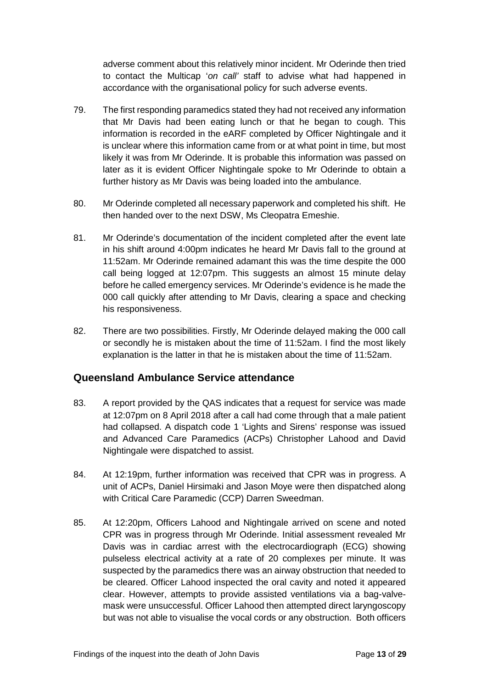adverse comment about this relatively minor incident. Mr Oderinde then tried to contact the Multicap '*on call'* staff to advise what had happened in accordance with the organisational policy for such adverse events.

- 79. The first responding paramedics stated they had not received any information that Mr Davis had been eating lunch or that he began to cough. This information is recorded in the eARF completed by Officer Nightingale and it is unclear where this information came from or at what point in time, but most likely it was from Mr Oderinde. It is probable this information was passed on later as it is evident Officer Nightingale spoke to Mr Oderinde to obtain a further history as Mr Davis was being loaded into the ambulance.
- 80. Mr Oderinde completed all necessary paperwork and completed his shift. He then handed over to the next DSW, Ms Cleopatra Emeshie.
- 81. Mr Oderinde's documentation of the incident completed after the event late in his shift around 4:00pm indicates he heard Mr Davis fall to the ground at 11:52am. Mr Oderinde remained adamant this was the time despite the 000 call being logged at 12:07pm. This suggests an almost 15 minute delay before he called emergency services. Mr Oderinde's evidence is he made the 000 call quickly after attending to Mr Davis, clearing a space and checking his responsiveness.
- 82. There are two possibilities. Firstly, Mr Oderinde delayed making the 000 call or secondly he is mistaken about the time of 11:52am. I find the most likely explanation is the latter in that he is mistaken about the time of 11:52am.

## <span id="page-14-0"></span>**Queensland Ambulance Service attendance**

- 83. A report provided by the QAS indicates that a request for service was made at 12:07pm on 8 April 2018 after a call had come through that a male patient had collapsed. A dispatch code 1 'Lights and Sirens' response was issued and Advanced Care Paramedics (ACPs) Christopher Lahood and David Nightingale were dispatched to assist.
- 84. At 12:19pm, further information was received that CPR was in progress. A unit of ACPs, Daniel Hirsimaki and Jason Moye were then dispatched along with Critical Care Paramedic (CCP) Darren Sweedman.
- 85. At 12:20pm, Officers Lahood and Nightingale arrived on scene and noted CPR was in progress through Mr Oderinde. Initial assessment revealed Mr Davis was in cardiac arrest with the electrocardiograph (ECG) showing pulseless electrical activity at a rate of 20 complexes per minute. It was suspected by the paramedics there was an airway obstruction that needed to be cleared. Officer Lahood inspected the oral cavity and noted it appeared clear. However, attempts to provide assisted ventilations via a bag-valvemask were unsuccessful. Officer Lahood then attempted direct laryngoscopy but was not able to visualise the vocal cords or any obstruction. Both officers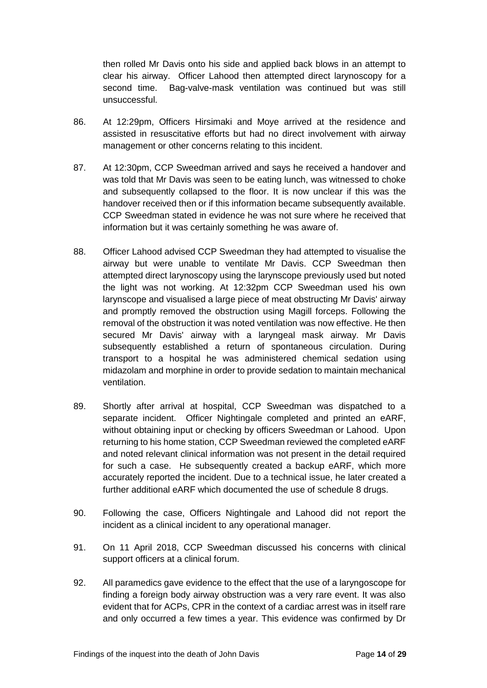then rolled Mr Davis onto his side and applied back blows in an attempt to clear his airway. Officer Lahood then attempted direct larynoscopy for a second time. Bag-valve-mask ventilation was continued but was still unsuccessful.

- 86. At 12:29pm, Officers Hirsimaki and Moye arrived at the residence and assisted in resuscitative efforts but had no direct involvement with airway management or other concerns relating to this incident.
- 87. At 12:30pm, CCP Sweedman arrived and says he received a handover and was told that Mr Davis was seen to be eating lunch, was witnessed to choke and subsequently collapsed to the floor. It is now unclear if this was the handover received then or if this information became subsequently available. CCP Sweedman stated in evidence he was not sure where he received that information but it was certainly something he was aware of.
- 88. Officer Lahood advised CCP Sweedman they had attempted to visualise the airway but were unable to ventilate Mr Davis. CCP Sweedman then attempted direct larynoscopy using the larynscope previously used but noted the light was not working. At 12:32pm CCP Sweedman used his own larynscope and visualised a large piece of meat obstructing Mr Davis' airway and promptly removed the obstruction using Magill forceps. Following the removal of the obstruction it was noted ventilation was now effective. He then secured Mr Davis' airway with a laryngeal mask airway. Mr Davis subsequently established a return of spontaneous circulation. During transport to a hospital he was administered chemical sedation using midazolam and morphine in order to provide sedation to maintain mechanical ventilation.
- 89. Shortly after arrival at hospital, CCP Sweedman was dispatched to a separate incident. Officer Nightingale completed and printed an eARF, without obtaining input or checking by officers Sweedman or Lahood. Upon returning to his home station, CCP Sweedman reviewed the completed eARF and noted relevant clinical information was not present in the detail required for such a case. He subsequently created a backup eARF, which more accurately reported the incident. Due to a technical issue, he later created a further additional eARF which documented the use of schedule 8 drugs.
- 90. Following the case, Officers Nightingale and Lahood did not report the incident as a clinical incident to any operational manager.
- 91. On 11 April 2018, CCP Sweedman discussed his concerns with clinical support officers at a clinical forum.
- 92. All paramedics gave evidence to the effect that the use of a laryngoscope for finding a foreign body airway obstruction was a very rare event. It was also evident that for ACPs, CPR in the context of a cardiac arrest was in itself rare and only occurred a few times a year. This evidence was confirmed by Dr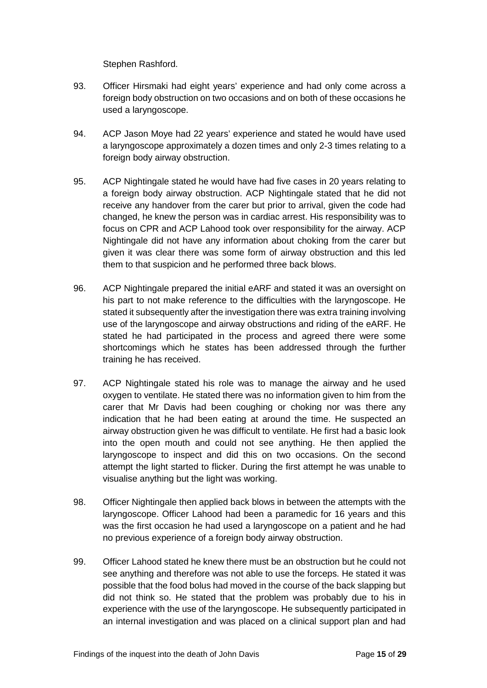Stephen Rashford.

- 93. Officer Hirsmaki had eight years' experience and had only come across a foreign body obstruction on two occasions and on both of these occasions he used a laryngoscope.
- 94. ACP Jason Moye had 22 years' experience and stated he would have used a laryngoscope approximately a dozen times and only 2-3 times relating to a foreign body airway obstruction.
- 95. ACP Nightingale stated he would have had five cases in 20 years relating to a foreign body airway obstruction. ACP Nightingale stated that he did not receive any handover from the carer but prior to arrival, given the code had changed, he knew the person was in cardiac arrest. His responsibility was to focus on CPR and ACP Lahood took over responsibility for the airway. ACP Nightingale did not have any information about choking from the carer but given it was clear there was some form of airway obstruction and this led them to that suspicion and he performed three back blows.
- 96. ACP Nightingale prepared the initial eARF and stated it was an oversight on his part to not make reference to the difficulties with the laryngoscope. He stated it subsequently after the investigation there was extra training involving use of the laryngoscope and airway obstructions and riding of the eARF. He stated he had participated in the process and agreed there were some shortcomings which he states has been addressed through the further training he has received.
- 97. ACP Nightingale stated his role was to manage the airway and he used oxygen to ventilate. He stated there was no information given to him from the carer that Mr Davis had been coughing or choking nor was there any indication that he had been eating at around the time. He suspected an airway obstruction given he was difficult to ventilate. He first had a basic look into the open mouth and could not see anything. He then applied the laryngoscope to inspect and did this on two occasions. On the second attempt the light started to flicker. During the first attempt he was unable to visualise anything but the light was working.
- 98. Officer Nightingale then applied back blows in between the attempts with the laryngoscope. Officer Lahood had been a paramedic for 16 years and this was the first occasion he had used a laryngoscope on a patient and he had no previous experience of a foreign body airway obstruction.
- 99. Officer Lahood stated he knew there must be an obstruction but he could not see anything and therefore was not able to use the forceps. He stated it was possible that the food bolus had moved in the course of the back slapping but did not think so. He stated that the problem was probably due to his in experience with the use of the laryngoscope. He subsequently participated in an internal investigation and was placed on a clinical support plan and had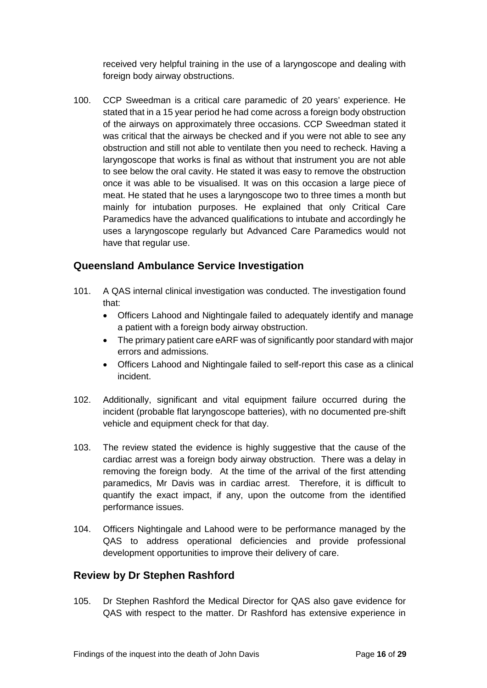received very helpful training in the use of a laryngoscope and dealing with foreign body airway obstructions.

100. CCP Sweedman is a critical care paramedic of 20 years' experience. He stated that in a 15 year period he had come across a foreign body obstruction of the airways on approximately three occasions. CCP Sweedman stated it was critical that the airways be checked and if you were not able to see any obstruction and still not able to ventilate then you need to recheck. Having a laryngoscope that works is final as without that instrument you are not able to see below the oral cavity. He stated it was easy to remove the obstruction once it was able to be visualised. It was on this occasion a large piece of meat. He stated that he uses a laryngoscope two to three times a month but mainly for intubation purposes. He explained that only Critical Care Paramedics have the advanced qualifications to intubate and accordingly he uses a laryngoscope regularly but Advanced Care Paramedics would not have that regular use.

# <span id="page-17-0"></span>**Queensland Ambulance Service Investigation**

- 101. A QAS internal clinical investigation was conducted. The investigation found that:
	- Officers Lahood and Nightingale failed to adequately identify and manage a patient with a foreign body airway obstruction.
	- The primary patient care eARF was of significantly poor standard with major errors and admissions.
	- Officers Lahood and Nightingale failed to self-report this case as a clinical incident.
- 102. Additionally, significant and vital equipment failure occurred during the incident (probable flat laryngoscope batteries), with no documented pre-shift vehicle and equipment check for that day.
- 103. The review stated the evidence is highly suggestive that the cause of the cardiac arrest was a foreign body airway obstruction. There was a delay in removing the foreign body. At the time of the arrival of the first attending paramedics, Mr Davis was in cardiac arrest. Therefore, it is difficult to quantify the exact impact, if any, upon the outcome from the identified performance issues.
- 104. Officers Nightingale and Lahood were to be performance managed by the QAS to address operational deficiencies and provide professional development opportunities to improve their delivery of care.

#### <span id="page-17-1"></span>**Review by Dr Stephen Rashford**

105. Dr Stephen Rashford the Medical Director for QAS also gave evidence for QAS with respect to the matter. Dr Rashford has extensive experience in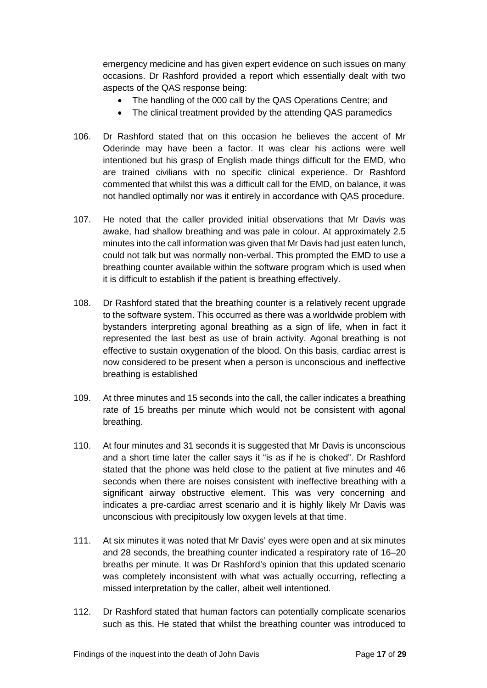emergency medicine and has given expert evidence on such issues on many occasions. Dr Rashford provided a report which essentially dealt with two aspects of the QAS response being:

- The handling of the 000 call by the QAS Operations Centre; and
- The clinical treatment provided by the attending QAS paramedics
- 106. Dr Rashford stated that on this occasion he believes the accent of Mr Oderinde may have been a factor. It was clear his actions were well intentioned but his grasp of English made things difficult for the EMD, who are trained civilians with no specific clinical experience. Dr Rashford commented that whilst this was a difficult call for the EMD, on balance, it was not handled optimally nor was it entirely in accordance with QAS procedure.
- 107. He noted that the caller provided initial observations that Mr Davis was awake, had shallow breathing and was pale in colour. At approximately 2.5 minutes into the call information was given that Mr Davis had just eaten lunch, could not talk but was normally non-verbal. This prompted the EMD to use a breathing counter available within the software program which is used when it is difficult to establish if the patient is breathing effectively.
- 108. Dr Rashford stated that the breathing counter is a relatively recent upgrade to the software system. This occurred as there was a worldwide problem with bystanders interpreting agonal breathing as a sign of life, when in fact it represented the last best as use of brain activity. Agonal breathing is not effective to sustain oxygenation of the blood. On this basis, cardiac arrest is now considered to be present when a person is unconscious and ineffective breathing is established
- 109. At three minutes and 15 seconds into the call, the caller indicates a breathing rate of 15 breaths per minute which would not be consistent with agonal breathing.
- 110. At four minutes and 31 seconds it is suggested that Mr Davis is unconscious and a short time later the caller says it "is as if he is choked". Dr Rashford stated that the phone was held close to the patient at five minutes and 46 seconds when there are noises consistent with ineffective breathing with a significant airway obstructive element. This was very concerning and indicates a pre-cardiac arrest scenario and it is highly likely Mr Davis was unconscious with precipitously low oxygen levels at that time.
- 111. At six minutes it was noted that Mr Davis' eyes were open and at six minutes and 28 seconds, the breathing counter indicated a respiratory rate of 16–20 breaths per minute. It was Dr Rashford's opinion that this updated scenario was completely inconsistent with what was actually occurring, reflecting a missed interpretation by the caller, albeit well intentioned.
- 112. Dr Rashford stated that human factors can potentially complicate scenarios such as this. He stated that whilst the breathing counter was introduced to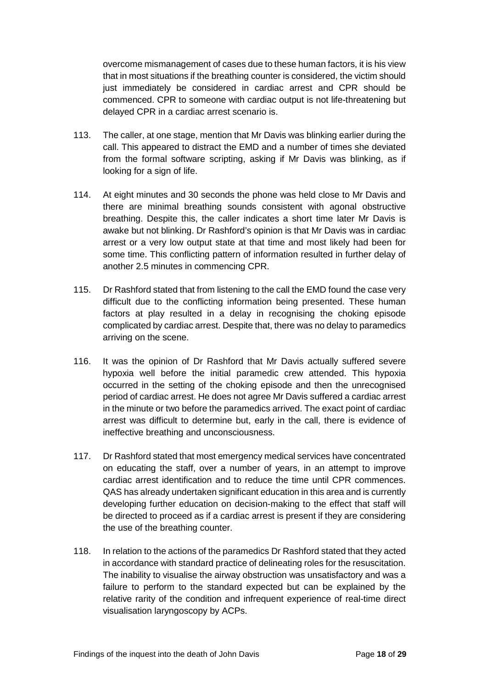overcome mismanagement of cases due to these human factors, it is his view that in most situations if the breathing counter is considered, the victim should just immediately be considered in cardiac arrest and CPR should be commenced. CPR to someone with cardiac output is not life-threatening but delayed CPR in a cardiac arrest scenario is.

- 113. The caller, at one stage, mention that Mr Davis was blinking earlier during the call. This appeared to distract the EMD and a number of times she deviated from the formal software scripting, asking if Mr Davis was blinking, as if looking for a sign of life.
- 114. At eight minutes and 30 seconds the phone was held close to Mr Davis and there are minimal breathing sounds consistent with agonal obstructive breathing. Despite this, the caller indicates a short time later Mr Davis is awake but not blinking. Dr Rashford's opinion is that Mr Davis was in cardiac arrest or a very low output state at that time and most likely had been for some time. This conflicting pattern of information resulted in further delay of another 2.5 minutes in commencing CPR.
- 115. Dr Rashford stated that from listening to the call the EMD found the case very difficult due to the conflicting information being presented. These human factors at play resulted in a delay in recognising the choking episode complicated by cardiac arrest. Despite that, there was no delay to paramedics arriving on the scene.
- 116. It was the opinion of Dr Rashford that Mr Davis actually suffered severe hypoxia well before the initial paramedic crew attended. This hypoxia occurred in the setting of the choking episode and then the unrecognised period of cardiac arrest. He does not agree Mr Davis suffered a cardiac arrest in the minute or two before the paramedics arrived. The exact point of cardiac arrest was difficult to determine but, early in the call, there is evidence of ineffective breathing and unconsciousness.
- 117. Dr Rashford stated that most emergency medical services have concentrated on educating the staff, over a number of years, in an attempt to improve cardiac arrest identification and to reduce the time until CPR commences. QAS has already undertaken significant education in this area and is currently developing further education on decision-making to the effect that staff will be directed to proceed as if a cardiac arrest is present if they are considering the use of the breathing counter.
- 118. In relation to the actions of the paramedics Dr Rashford stated that they acted in accordance with standard practice of delineating roles for the resuscitation. The inability to visualise the airway obstruction was unsatisfactory and was a failure to perform to the standard expected but can be explained by the relative rarity of the condition and infrequent experience of real-time direct visualisation laryngoscopy by ACPs.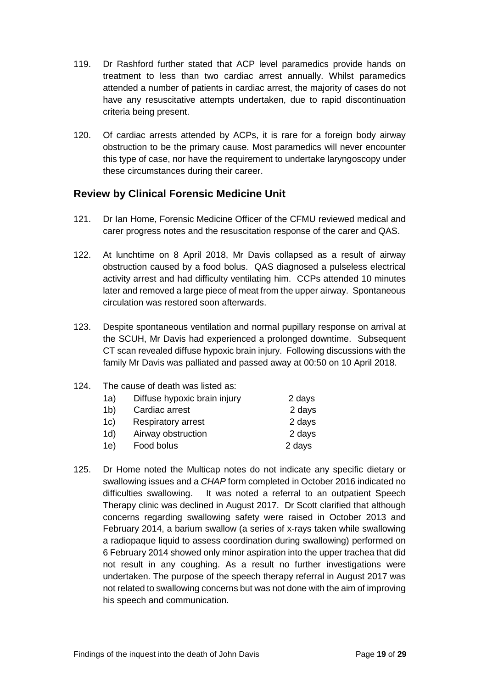- 119. Dr Rashford further stated that ACP level paramedics provide hands on treatment to less than two cardiac arrest annually. Whilst paramedics attended a number of patients in cardiac arrest, the majority of cases do not have any resuscitative attempts undertaken, due to rapid discontinuation criteria being present.
- 120. Of cardiac arrests attended by ACPs, it is rare for a foreign body airway obstruction to be the primary cause. Most paramedics will never encounter this type of case, nor have the requirement to undertake laryngoscopy under these circumstances during their career.

## <span id="page-20-0"></span>**Review by Clinical Forensic Medicine Unit**

- 121. Dr Ian Home, Forensic Medicine Officer of the CFMU reviewed medical and carer progress notes and the resuscitation response of the carer and QAS.
- 122. At lunchtime on 8 April 2018, Mr Davis collapsed as a result of airway obstruction caused by a food bolus. QAS diagnosed a pulseless electrical activity arrest and had difficulty ventilating him. CCPs attended 10 minutes later and removed a large piece of meat from the upper airway. Spontaneous circulation was restored soon afterwards.
- 123. Despite spontaneous ventilation and normal pupillary response on arrival at the SCUH, Mr Davis had experienced a prolonged downtime. Subsequent CT scan revealed diffuse hypoxic brain injury. Following discussions with the family Mr Davis was palliated and passed away at 00:50 on 10 April 2018.

#### 124. The cause of death was listed as:

| 1a)            | Diffuse hypoxic brain injury | 2 days |
|----------------|------------------------------|--------|
| 1 <sub>b</sub> | Cardiac arrest               | 2 days |
| 1c)            | <b>Respiratory arrest</b>    | 2 days |
| 1d)            | Airway obstruction           | 2 days |
| 1e)            | Food bolus                   | 2 days |

125. Dr Home noted the Multicap notes do not indicate any specific dietary or swallowing issues and a *CHAP* form completed in October 2016 indicated no difficulties swallowing. It was noted a referral to an outpatient Speech Therapy clinic was declined in August 2017. Dr Scott clarified that although concerns regarding swallowing safety were raised in October 2013 and February 2014, a barium swallow (a series of x-rays taken while swallowing a radiopaque liquid to assess coordination during swallowing) performed on 6 February 2014 showed only minor aspiration into the upper trachea that did not result in any coughing. As a result no further investigations were undertaken. The purpose of the speech therapy referral in August 2017 was not related to swallowing concerns but was not done with the aim of improving his speech and communication.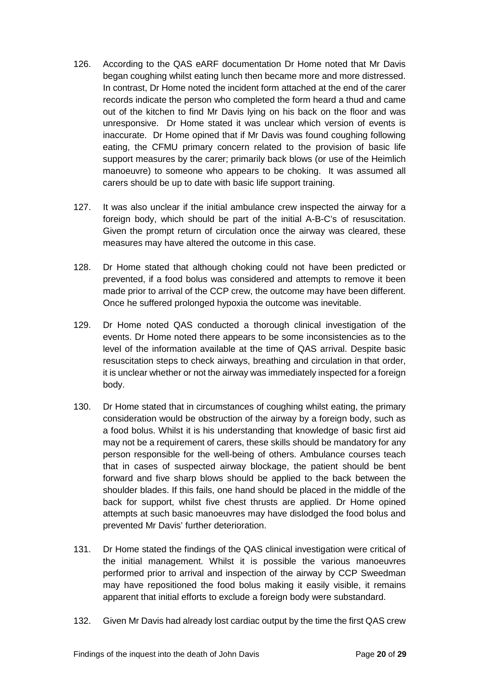- 126. According to the QAS eARF documentation Dr Home noted that Mr Davis began coughing whilst eating lunch then became more and more distressed. In contrast, Dr Home noted the incident form attached at the end of the carer records indicate the person who completed the form heard a thud and came out of the kitchen to find Mr Davis lying on his back on the floor and was unresponsive. Dr Home stated it was unclear which version of events is inaccurate. Dr Home opined that if Mr Davis was found coughing following eating, the CFMU primary concern related to the provision of basic life support measures by the carer; primarily back blows (or use of the Heimlich manoeuvre) to someone who appears to be choking. It was assumed all carers should be up to date with basic life support training.
- 127. It was also unclear if the initial ambulance crew inspected the airway for a foreign body, which should be part of the initial A-B-C's of resuscitation. Given the prompt return of circulation once the airway was cleared, these measures may have altered the outcome in this case.
- 128. Dr Home stated that although choking could not have been predicted or prevented, if a food bolus was considered and attempts to remove it been made prior to arrival of the CCP crew, the outcome may have been different. Once he suffered prolonged hypoxia the outcome was inevitable.
- 129. Dr Home noted QAS conducted a thorough clinical investigation of the events. Dr Home noted there appears to be some inconsistencies as to the level of the information available at the time of QAS arrival. Despite basic resuscitation steps to check airways, breathing and circulation in that order, it is unclear whether or not the airway was immediately inspected for a foreign body.
- 130. Dr Home stated that in circumstances of coughing whilst eating, the primary consideration would be obstruction of the airway by a foreign body, such as a food bolus. Whilst it is his understanding that knowledge of basic first aid may not be a requirement of carers, these skills should be mandatory for any person responsible for the well-being of others. Ambulance courses teach that in cases of suspected airway blockage, the patient should be bent forward and five sharp blows should be applied to the back between the shoulder blades. If this fails, one hand should be placed in the middle of the back for support, whilst five chest thrusts are applied. Dr Home opined attempts at such basic manoeuvres may have dislodged the food bolus and prevented Mr Davis' further deterioration.
- 131. Dr Home stated the findings of the QAS clinical investigation were critical of the initial management. Whilst it is possible the various manoeuvres performed prior to arrival and inspection of the airway by CCP Sweedman may have repositioned the food bolus making it easily visible, it remains apparent that initial efforts to exclude a foreign body were substandard.
- 132. Given Mr Davis had already lost cardiac output by the time the first QAS crew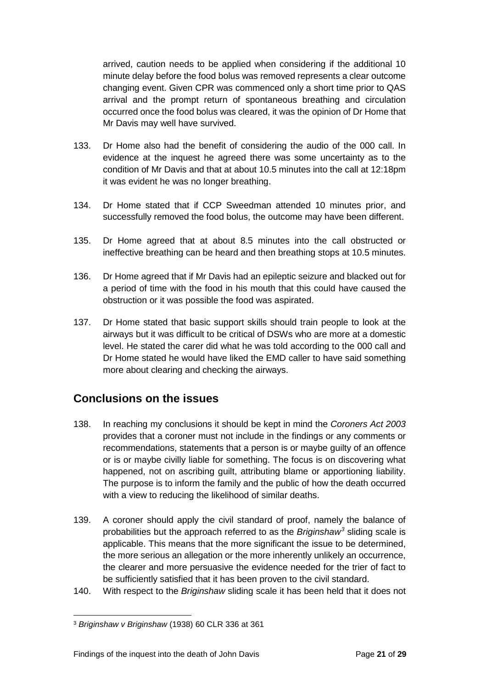arrived, caution needs to be applied when considering if the additional 10 minute delay before the food bolus was removed represents a clear outcome changing event. Given CPR was commenced only a short time prior to QAS arrival and the prompt return of spontaneous breathing and circulation occurred once the food bolus was cleared, it was the opinion of Dr Home that Mr Davis may well have survived.

- 133. Dr Home also had the benefit of considering the audio of the 000 call. In evidence at the inquest he agreed there was some uncertainty as to the condition of Mr Davis and that at about 10.5 minutes into the call at 12:18pm it was evident he was no longer breathing.
- 134. Dr Home stated that if CCP Sweedman attended 10 minutes prior, and successfully removed the food bolus, the outcome may have been different.
- 135. Dr Home agreed that at about 8.5 minutes into the call obstructed or ineffective breathing can be heard and then breathing stops at 10.5 minutes.
- 136. Dr Home agreed that if Mr Davis had an epileptic seizure and blacked out for a period of time with the food in his mouth that this could have caused the obstruction or it was possible the food was aspirated.
- 137. Dr Home stated that basic support skills should train people to look at the airways but it was difficult to be critical of DSWs who are more at a domestic level. He stated the carer did what he was told according to the 000 call and Dr Home stated he would have liked the EMD caller to have said something more about clearing and checking the airways.

# <span id="page-22-0"></span>**Conclusions on the issues**

- 138. In reaching my conclusions it should be kept in mind the *Coroners Act 2003*  provides that a coroner must not include in the findings or any comments or recommendations, statements that a person is or maybe guilty of an offence or is or maybe civilly liable for something. The focus is on discovering what happened, not on ascribing guilt, attributing blame or apportioning liability. The purpose is to inform the family and the public of how the death occurred with a view to reducing the likelihood of similar deaths.
- 139. A coroner should apply the civil standard of proof, namely the balance of probabilities but the approach referred to as the *Briginshaw[3](#page-22-1)* sliding scale is applicable. This means that the more significant the issue to be determined, the more serious an allegation or the more inherently unlikely an occurrence, the clearer and more persuasive the evidence needed for the trier of fact to be sufficiently satisfied that it has been proven to the civil standard.
- 140. With respect to the *Briginshaw* sliding scale it has been held that it does not

<span id="page-22-1"></span><sup>3</sup> *Briginshaw v Briginshaw* (1938) 60 CLR 336 at 361  $\overline{a}$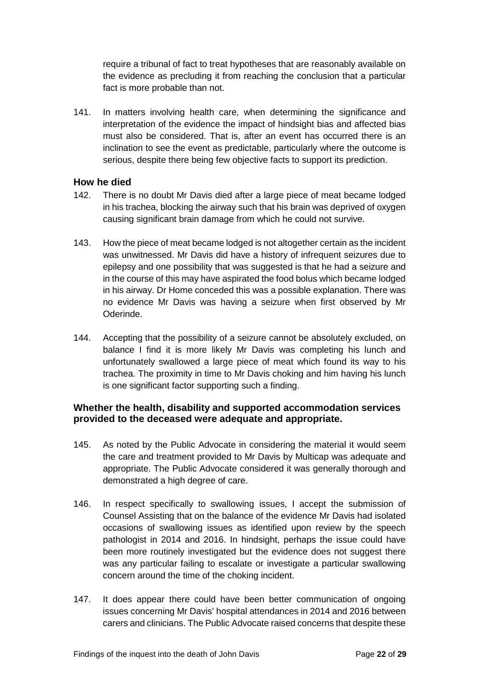require a tribunal of fact to treat hypotheses that are reasonably available on the evidence as precluding it from reaching the conclusion that a particular fact is more probable than not.

141. In matters involving health care, when determining the significance and interpretation of the evidence the impact of hindsight bias and affected bias must also be considered. That is, after an event has occurred there is an inclination to see the event as predictable, particularly where the outcome is serious, despite there being few objective facts to support its prediction.

#### <span id="page-23-0"></span>**How he died**

- 142. There is no doubt Mr Davis died after a large piece of meat became lodged in his trachea, blocking the airway such that his brain was deprived of oxygen causing significant brain damage from which he could not survive.
- 143. How the piece of meat became lodged is not altogether certain as the incident was unwitnessed. Mr Davis did have a history of infrequent seizures due to epilepsy and one possibility that was suggested is that he had a seizure and in the course of this may have aspirated the food bolus which became lodged in his airway. Dr Home conceded this was a possible explanation. There was no evidence Mr Davis was having a seizure when first observed by Mr Oderinde.
- 144. Accepting that the possibility of a seizure cannot be absolutely excluded, on balance I find it is more likely Mr Davis was completing his lunch and unfortunately swallowed a large piece of meat which found its way to his trachea. The proximity in time to Mr Davis choking and him having his lunch is one significant factor supporting such a finding.

#### <span id="page-23-1"></span>**Whether the health, disability and supported accommodation services provided to the deceased were adequate and appropriate.**

- 145. As noted by the Public Advocate in considering the material it would seem the care and treatment provided to Mr Davis by Multicap was adequate and appropriate. The Public Advocate considered it was generally thorough and demonstrated a high degree of care.
- 146. In respect specifically to swallowing issues, I accept the submission of Counsel Assisting that on the balance of the evidence Mr Davis had isolated occasions of swallowing issues as identified upon review by the speech pathologist in 2014 and 2016. In hindsight, perhaps the issue could have been more routinely investigated but the evidence does not suggest there was any particular failing to escalate or investigate a particular swallowing concern around the time of the choking incident.
- 147. It does appear there could have been better communication of ongoing issues concerning Mr Davis' hospital attendances in 2014 and 2016 between carers and clinicians. The Public Advocate raised concerns that despite these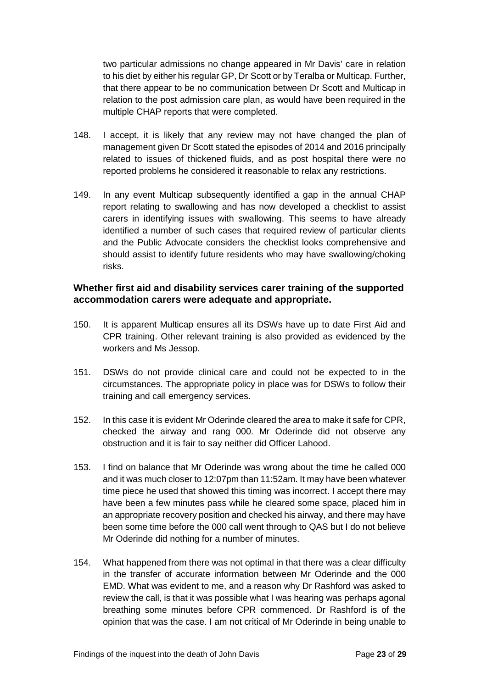two particular admissions no change appeared in Mr Davis' care in relation to his diet by either his regular GP, Dr Scott or by Teralba or Multicap. Further, that there appear to be no communication between Dr Scott and Multicap in relation to the post admission care plan, as would have been required in the multiple CHAP reports that were completed.

- 148. I accept, it is likely that any review may not have changed the plan of management given Dr Scott stated the episodes of 2014 and 2016 principally related to issues of thickened fluids, and as post hospital there were no reported problems he considered it reasonable to relax any restrictions.
- 149. In any event Multicap subsequently identified a gap in the annual CHAP report relating to swallowing and has now developed a checklist to assist carers in identifying issues with swallowing. This seems to have already identified a number of such cases that required review of particular clients and the Public Advocate considers the checklist looks comprehensive and should assist to identify future residents who may have swallowing/choking risks.

#### <span id="page-24-0"></span>**Whether first aid and disability services carer training of the supported accommodation carers were adequate and appropriate.**

- 150. It is apparent Multicap ensures all its DSWs have up to date First Aid and CPR training. Other relevant training is also provided as evidenced by the workers and Ms Jessop.
- 151. DSWs do not provide clinical care and could not be expected to in the circumstances. The appropriate policy in place was for DSWs to follow their training and call emergency services.
- 152. In this case it is evident Mr Oderinde cleared the area to make it safe for CPR, checked the airway and rang 000. Mr Oderinde did not observe any obstruction and it is fair to say neither did Officer Lahood.
- 153. I find on balance that Mr Oderinde was wrong about the time he called 000 and it was much closer to 12:07pm than 11:52am. It may have been whatever time piece he used that showed this timing was incorrect. I accept there may have been a few minutes pass while he cleared some space, placed him in an appropriate recovery position and checked his airway, and there may have been some time before the 000 call went through to QAS but I do not believe Mr Oderinde did nothing for a number of minutes.
- 154. What happened from there was not optimal in that there was a clear difficulty in the transfer of accurate information between Mr Oderinde and the 000 EMD. What was evident to me, and a reason why Dr Rashford was asked to review the call, is that it was possible what I was hearing was perhaps agonal breathing some minutes before CPR commenced. Dr Rashford is of the opinion that was the case. I am not critical of Mr Oderinde in being unable to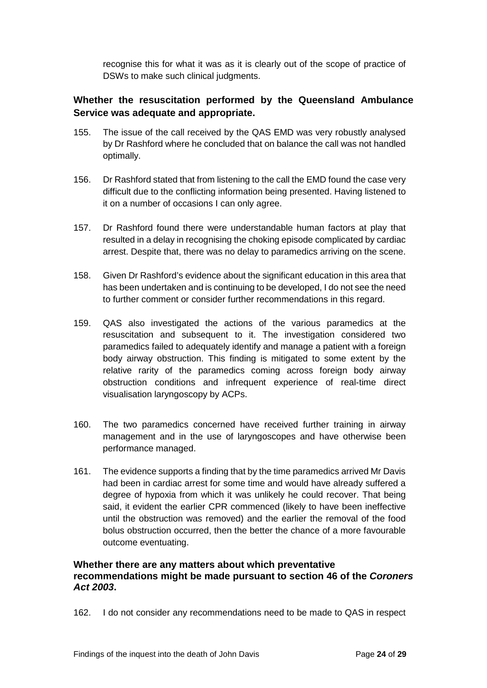recognise this for what it was as it is clearly out of the scope of practice of DSWs to make such clinical judgments.

## <span id="page-25-0"></span>**Whether the resuscitation performed by the Queensland Ambulance Service was adequate and appropriate.**

- 155. The issue of the call received by the QAS EMD was very robustly analysed by Dr Rashford where he concluded that on balance the call was not handled optimally.
- 156. Dr Rashford stated that from listening to the call the EMD found the case very difficult due to the conflicting information being presented. Having listened to it on a number of occasions I can only agree.
- 157. Dr Rashford found there were understandable human factors at play that resulted in a delay in recognising the choking episode complicated by cardiac arrest. Despite that, there was no delay to paramedics arriving on the scene.
- 158. Given Dr Rashford's evidence about the significant education in this area that has been undertaken and is continuing to be developed, I do not see the need to further comment or consider further recommendations in this regard.
- 159. QAS also investigated the actions of the various paramedics at the resuscitation and subsequent to it. The investigation considered two paramedics failed to adequately identify and manage a patient with a foreign body airway obstruction. This finding is mitigated to some extent by the relative rarity of the paramedics coming across foreign body airway obstruction conditions and infrequent experience of real-time direct visualisation laryngoscopy by ACPs.
- 160. The two paramedics concerned have received further training in airway management and in the use of laryngoscopes and have otherwise been performance managed.
- 161. The evidence supports a finding that by the time paramedics arrived Mr Davis had been in cardiac arrest for some time and would have already suffered a degree of hypoxia from which it was unlikely he could recover. That being said, it evident the earlier CPR commenced (likely to have been ineffective until the obstruction was removed) and the earlier the removal of the food bolus obstruction occurred, then the better the chance of a more favourable outcome eventuating.

#### <span id="page-25-1"></span>**Whether there are any matters about which preventative recommendations might be made pursuant to section 46 of the** *Coroners Act 2003***.**

162. I do not consider any recommendations need to be made to QAS in respect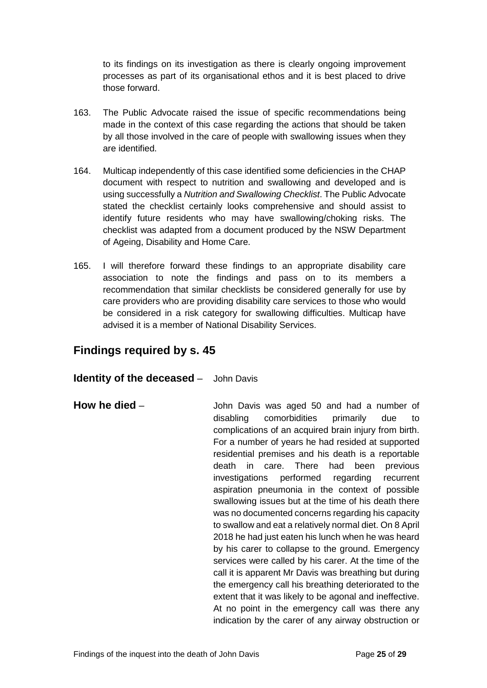to its findings on its investigation as there is clearly ongoing improvement processes as part of its organisational ethos and it is best placed to drive those forward.

- 163. The Public Advocate raised the issue of specific recommendations being made in the context of this case regarding the actions that should be taken by all those involved in the care of people with swallowing issues when they are identified.
- 164. Multicap independently of this case identified some deficiencies in the CHAP document with respect to nutrition and swallowing and developed and is using successfully a *Nutrition and Swallowing Checklist*. The Public Advocate stated the checklist certainly looks comprehensive and should assist to identify future residents who may have swallowing/choking risks. The checklist was adapted from a document produced by the NSW Department of Ageing, Disability and Home Care.
- 165. I will therefore forward these findings to an appropriate disability care association to note the findings and pass on to its members a recommendation that similar checklists be considered generally for use by care providers who are providing disability care services to those who would be considered in a risk category for swallowing difficulties. Multicap have advised it is a member of National Disability Services.

# <span id="page-26-0"></span>**Findings required by s. 45**

#### <span id="page-26-1"></span>**Identity of the deceased** – John Davis

<span id="page-26-2"></span>**How he died** – **John Davis was aged 50 and had a number of** disabling comorbidities primarily due to complications of an acquired brain injury from birth. For a number of years he had resided at supported residential premises and his death is a reportable death in care. There had been previous investigations performed regarding recurrent aspiration pneumonia in the context of possible swallowing issues but at the time of his death there was no documented concerns regarding his capacity to swallow and eat a relatively normal diet. On 8 April 2018 he had just eaten his lunch when he was heard by his carer to collapse to the ground. Emergency services were called by his carer. At the time of the call it is apparent Mr Davis was breathing but during the emergency call his breathing deteriorated to the extent that it was likely to be agonal and ineffective. At no point in the emergency call was there any indication by the carer of any airway obstruction or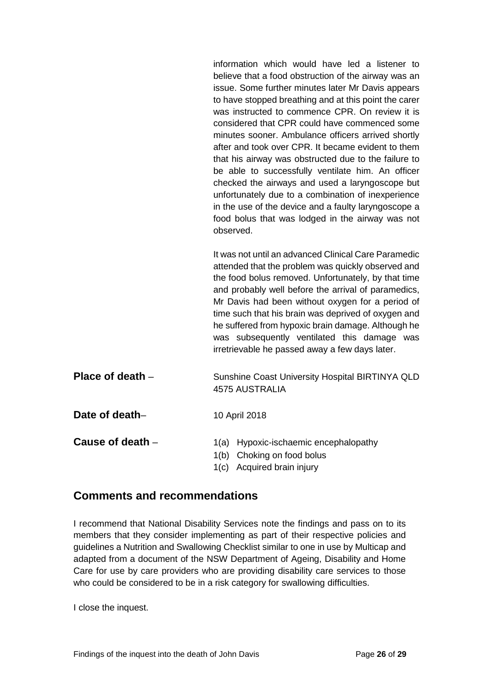information which would have led a listener to believe that a food obstruction of the airway was an issue. Some further minutes later Mr Davis appears to have stopped breathing and at this point the carer was instructed to commence CPR. On review it is considered that CPR could have commenced some minutes sooner. Ambulance officers arrived shortly after and took over CPR. It became evident to them that his airway was obstructed due to the failure to be able to successfully ventilate him. An officer checked the airways and used a laryngoscope but unfortunately due to a combination of inexperience in the use of the device and a faulty laryngoscope a food bolus that was lodged in the airway was not observed.

It was not until an advanced Clinical Care Paramedic attended that the problem was quickly observed and the food bolus removed. Unfortunately, by that time and probably well before the arrival of paramedics, Mr Davis had been without oxygen for a period of time such that his brain was deprived of oxygen and he suffered from hypoxic brain damage. Although he was subsequently ventilated this damage was irretrievable he passed away a few days later.

<span id="page-27-1"></span><span id="page-27-0"></span>

| Place of death $-$ | Sunshine Coast University Hospital BIRTINYA QLD<br>4575 AUSTRALIA                                 |  |
|--------------------|---------------------------------------------------------------------------------------------------|--|
| Date of death-     | 10 April 2018                                                                                     |  |
| Cause of death $-$ | 1(a) Hypoxic-ischaemic encephalopathy<br>1(b) Choking on food bolus<br>1(c) Acquired brain injury |  |

## <span id="page-27-3"></span><span id="page-27-2"></span>**Comments and recommendations**

I recommend that National Disability Services note the findings and pass on to its members that they consider implementing as part of their respective policies and guidelines a Nutrition and Swallowing Checklist similar to one in use by Multicap and adapted from a document of the NSW Department of Ageing, Disability and Home Care for use by care providers who are providing disability care services to those who could be considered to be in a risk category for swallowing difficulties.

I close the inquest.